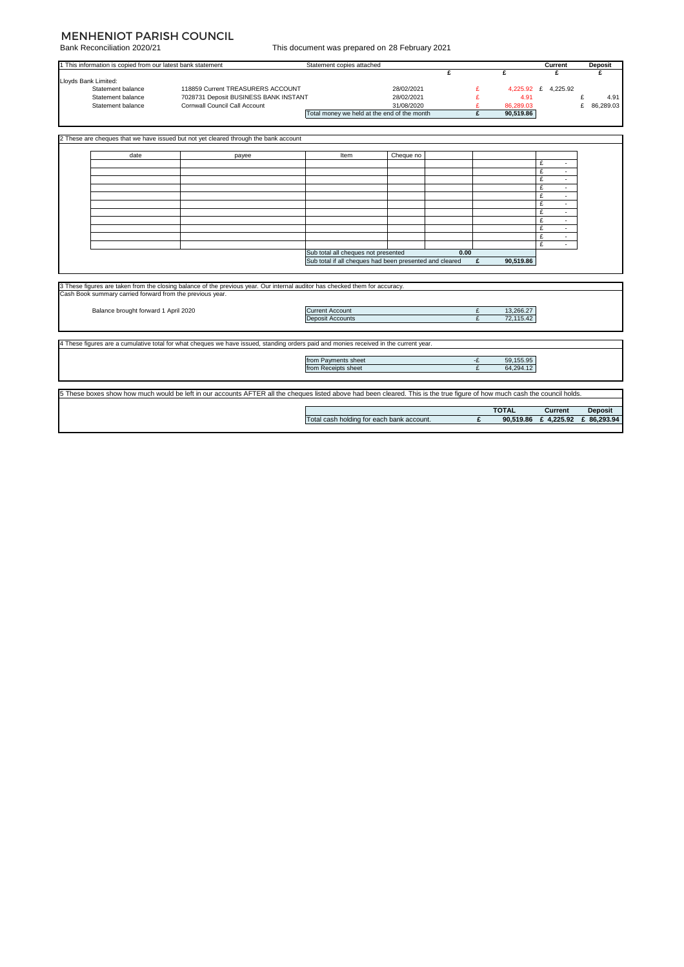## MENHENIOT PARISH COUNCIL

Bank Reconciliation 2020/21

| This document was prepared on 28 February 2021 |  |  |  |
|------------------------------------------------|--|--|--|
|                                                |  |  |  |

|                      | 1 This information is copied from our latest bank statement |                                                                                                                                                                            | Statement copies attached                               |                          |      |        |              | Current              | <b>Deposit</b> |
|----------------------|-------------------------------------------------------------|----------------------------------------------------------------------------------------------------------------------------------------------------------------------------|---------------------------------------------------------|--------------------------|------|--------|--------------|----------------------|----------------|
|                      |                                                             |                                                                                                                                                                            |                                                         |                          | £    |        | £            | £                    | £              |
| Lloyds Bank Limited: |                                                             |                                                                                                                                                                            |                                                         |                          |      |        |              |                      |                |
|                      | Statement balance<br>Statement balance                      | 118859 Current TREASURERS ACCOUNT<br>7028731 Deposit BUSINESS BANK INSTANT                                                                                                 |                                                         | 28/02/2021<br>28/02/2021 |      | £<br>£ | 4.91         | 4,225.92 £ 4,225.92  | £<br>4.91      |
|                      | Statement balance                                           | Cornwall Council Call Account                                                                                                                                              |                                                         | 31/08/2020               |      | £      | 86,289.03    |                      | £<br>86,289.03 |
|                      |                                                             |                                                                                                                                                                            | Total money we held at the end of the month             |                          |      | £      | 90,519.86    |                      |                |
|                      |                                                             |                                                                                                                                                                            |                                                         |                          |      |        |              |                      |                |
|                      |                                                             |                                                                                                                                                                            |                                                         |                          |      |        |              |                      |                |
|                      |                                                             | 2 These are cheques that we have issued but not yet cleared through the bank account                                                                                       |                                                         |                          |      |        |              |                      |                |
|                      |                                                             |                                                                                                                                                                            |                                                         |                          |      |        |              |                      |                |
|                      | date                                                        |                                                                                                                                                                            | Item                                                    |                          |      |        |              |                      |                |
|                      |                                                             | payee                                                                                                                                                                      |                                                         | Cheque no                |      |        |              | £<br>$\sim$          |                |
|                      |                                                             |                                                                                                                                                                            |                                                         |                          |      |        |              | £<br>×.              |                |
|                      |                                                             |                                                                                                                                                                            |                                                         |                          |      |        |              | £<br>÷.              |                |
|                      |                                                             |                                                                                                                                                                            |                                                         |                          |      |        |              | £<br>$\blacksquare$  |                |
|                      |                                                             |                                                                                                                                                                            |                                                         |                          |      |        |              | £<br>÷.              |                |
|                      |                                                             |                                                                                                                                                                            |                                                         |                          |      |        |              | £<br>$\sim$          |                |
|                      |                                                             |                                                                                                                                                                            |                                                         |                          |      |        |              | £                    |                |
|                      |                                                             |                                                                                                                                                                            |                                                         |                          |      |        |              | £<br>÷.              |                |
|                      |                                                             |                                                                                                                                                                            |                                                         |                          |      |        |              | £<br>٠               |                |
|                      |                                                             |                                                                                                                                                                            |                                                         |                          |      |        |              | £                    |                |
|                      |                                                             |                                                                                                                                                                            |                                                         |                          |      |        |              | £<br>$\sim$          |                |
|                      |                                                             |                                                                                                                                                                            | Sub total all cheques not presented                     |                          | 0.00 |        |              |                      |                |
|                      |                                                             |                                                                                                                                                                            | Sub total if all cheques had been presented and cleared |                          |      | £      | 90,519.86    |                      |                |
|                      |                                                             |                                                                                                                                                                            |                                                         |                          |      |        |              |                      |                |
|                      |                                                             |                                                                                                                                                                            |                                                         |                          |      |        |              |                      |                |
|                      |                                                             | 3 These figures are taken from the closing balance of the previous year. Our internal auditor has checked them for accuracy.                                               |                                                         |                          |      |        |              |                      |                |
|                      | Cash Book summary carried forward from the previous year.   |                                                                                                                                                                            |                                                         |                          |      |        |              |                      |                |
|                      |                                                             |                                                                                                                                                                            |                                                         |                          |      |        |              |                      |                |
|                      | Balance brought forward 1 April 2020                        |                                                                                                                                                                            | <b>Current Account</b>                                  |                          |      | £      | 13,266.27    |                      |                |
|                      |                                                             |                                                                                                                                                                            | <b>Deposit Accounts</b>                                 |                          |      | £      | 72,115.42    |                      |                |
|                      |                                                             |                                                                                                                                                                            |                                                         |                          |      |        |              |                      |                |
|                      |                                                             |                                                                                                                                                                            |                                                         |                          |      |        |              |                      |                |
|                      |                                                             | 4 These figures are a cumulative total for what cheques we have issued, standing orders paid and monies received in the current year.                                      |                                                         |                          |      |        |              |                      |                |
|                      |                                                             |                                                                                                                                                                            |                                                         |                          |      |        |              |                      |                |
|                      |                                                             |                                                                                                                                                                            | from Payments sheet                                     |                          |      | -£     | 59,155.95    |                      |                |
|                      |                                                             |                                                                                                                                                                            | from Receipts sheet                                     |                          |      | £      | 64,294.12    |                      |                |
|                      |                                                             |                                                                                                                                                                            |                                                         |                          |      |        |              |                      |                |
|                      |                                                             |                                                                                                                                                                            |                                                         |                          |      |        |              |                      |                |
|                      |                                                             | 5 These boxes show how much would be left in our accounts AFTER all the cheques listed above had been cleared. This is the true figure of how much cash the council holds. |                                                         |                          |      |        |              |                      |                |
|                      |                                                             |                                                                                                                                                                            |                                                         |                          |      |        |              |                      |                |
|                      |                                                             |                                                                                                                                                                            |                                                         |                          |      |        | <b>TOTAL</b> | Current              | <b>Deposit</b> |
|                      |                                                             |                                                                                                                                                                            | Total cash holding for each bank account.               |                          |      | £      |              | 90.519.86 £ 4.225.92 | £ 86,293.94    |
|                      |                                                             |                                                                                                                                                                            |                                                         |                          |      |        |              |                      |                |
|                      |                                                             |                                                                                                                                                                            |                                                         |                          |      |        |              |                      |                |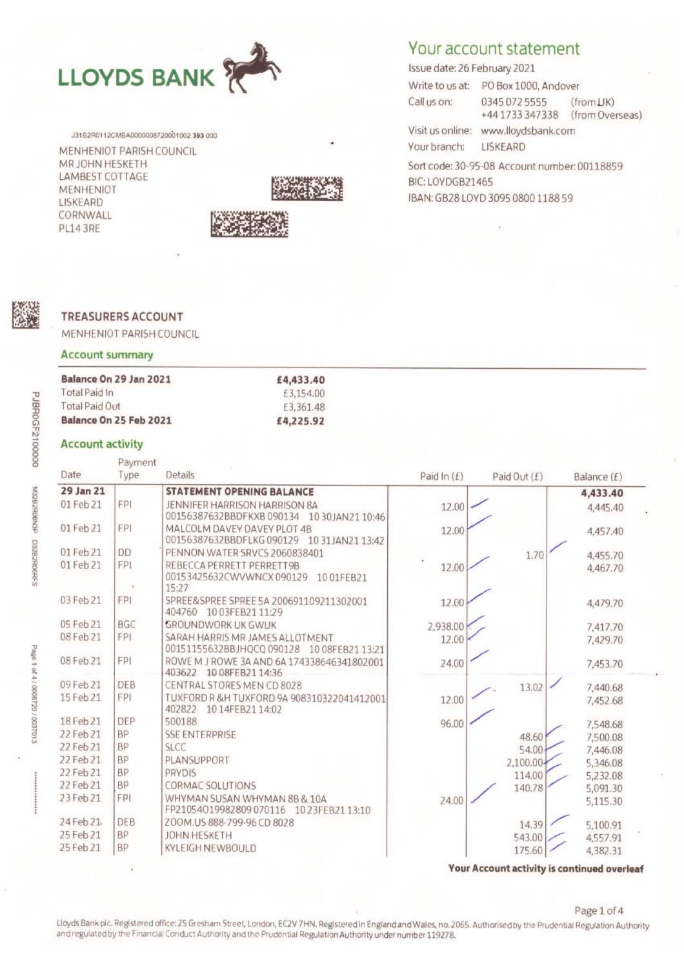

J31B2R0112CMBA0000008720001002 393 000 MENHENIOT PARISH COUNCIL MR JOHN HESKETH **LAMBEST COTTAGE MENHENIOT** 

**LISKEARD** CORNWALL **PL14 3RE** 



# Your account statement

Issue date: 26 February 2021

Write to us at: PO Box 1000, Andover Call us on: 0345 072 5555  $(fromJK)$ +441733347338 (from Overseas) Visit us online: www.lloydsbank.com Your branch: **LISKEARD** Sort code: 30-95-08 Account number: 00118859

BIC: LOYDGB21465 IBAN: GB28 LOYD 3095 0800 1188 59

### **TREASURERS ACCOUNT**

MENHENIOT PARISH COUNCIL

#### **Account summary**

| Balance On 29 Jan 2021 | £4,433.40 |  |  |
|------------------------|-----------|--|--|
| <b>Total Paid In</b>   | £3,154.00 |  |  |
| <b>Total Paid Out</b>  | £3,361.48 |  |  |
| Balance On 25 Feb 2021 | £4,225.92 |  |  |

#### **Account activity**

| Type<br><b>FPI</b><br><b>FPI</b><br><b>DD</b><br><b>FPI</b><br>٠<br>15:27<br><b>FPI</b>                 | <b>STATEMENT OPENING BALANCE</b><br><b>JENNIFER HARRISON HARRISON 8A</b><br>00156387632BBDFKXB 090134<br>1030JAN2110:46<br>MALCOLM DAVEY DAVEY PLOT 4B<br>00156387632BBDFLKG090129<br>10 31 JAN 21 13:42<br>PENNON WATER SRVCS 2060838401<br>REBECCA PERRETT PERRETT9B<br>00153425632CWVWNCX090129<br>1001FEB21<br>SPREE&SPREE SPREE 5A 200691109211302001 | Paid In $(E)$<br>12.00<br>12.00<br>12.00                                                                                                                                                                                                                                                                                                                                                                                                                                                                                                                                                                        | Paid Out $(f)$<br>1.70                       | Balance (£)<br>4,433.40<br>4,445.40<br>4,457.40<br>4,455.70<br>4,467.70                                                                     |
|---------------------------------------------------------------------------------------------------------|------------------------------------------------------------------------------------------------------------------------------------------------------------------------------------------------------------------------------------------------------------------------------------------------------------------------------------------------------------|-----------------------------------------------------------------------------------------------------------------------------------------------------------------------------------------------------------------------------------------------------------------------------------------------------------------------------------------------------------------------------------------------------------------------------------------------------------------------------------------------------------------------------------------------------------------------------------------------------------------|----------------------------------------------|---------------------------------------------------------------------------------------------------------------------------------------------|
|                                                                                                         |                                                                                                                                                                                                                                                                                                                                                            |                                                                                                                                                                                                                                                                                                                                                                                                                                                                                                                                                                                                                 |                                              |                                                                                                                                             |
|                                                                                                         |                                                                                                                                                                                                                                                                                                                                                            |                                                                                                                                                                                                                                                                                                                                                                                                                                                                                                                                                                                                                 |                                              |                                                                                                                                             |
|                                                                                                         |                                                                                                                                                                                                                                                                                                                                                            |                                                                                                                                                                                                                                                                                                                                                                                                                                                                                                                                                                                                                 |                                              |                                                                                                                                             |
|                                                                                                         |                                                                                                                                                                                                                                                                                                                                                            |                                                                                                                                                                                                                                                                                                                                                                                                                                                                                                                                                                                                                 |                                              |                                                                                                                                             |
|                                                                                                         |                                                                                                                                                                                                                                                                                                                                                            |                                                                                                                                                                                                                                                                                                                                                                                                                                                                                                                                                                                                                 |                                              |                                                                                                                                             |
|                                                                                                         |                                                                                                                                                                                                                                                                                                                                                            |                                                                                                                                                                                                                                                                                                                                                                                                                                                                                                                                                                                                                 |                                              |                                                                                                                                             |
|                                                                                                         |                                                                                                                                                                                                                                                                                                                                                            |                                                                                                                                                                                                                                                                                                                                                                                                                                                                                                                                                                                                                 |                                              |                                                                                                                                             |
|                                                                                                         |                                                                                                                                                                                                                                                                                                                                                            |                                                                                                                                                                                                                                                                                                                                                                                                                                                                                                                                                                                                                 |                                              |                                                                                                                                             |
|                                                                                                         |                                                                                                                                                                                                                                                                                                                                                            |                                                                                                                                                                                                                                                                                                                                                                                                                                                                                                                                                                                                                 |                                              |                                                                                                                                             |
|                                                                                                         |                                                                                                                                                                                                                                                                                                                                                            | 12.00                                                                                                                                                                                                                                                                                                                                                                                                                                                                                                                                                                                                           |                                              | 4,479.70                                                                                                                                    |
|                                                                                                         |                                                                                                                                                                                                                                                                                                                                                            |                                                                                                                                                                                                                                                                                                                                                                                                                                                                                                                                                                                                                 |                                              |                                                                                                                                             |
| <b>BGC</b>                                                                                              |                                                                                                                                                                                                                                                                                                                                                            |                                                                                                                                                                                                                                                                                                                                                                                                                                                                                                                                                                                                                 |                                              | 7,417.70                                                                                                                                    |
|                                                                                                         |                                                                                                                                                                                                                                                                                                                                                            | 12.00                                                                                                                                                                                                                                                                                                                                                                                                                                                                                                                                                                                                           |                                              | 7,429.70                                                                                                                                    |
|                                                                                                         |                                                                                                                                                                                                                                                                                                                                                            |                                                                                                                                                                                                                                                                                                                                                                                                                                                                                                                                                                                                                 |                                              |                                                                                                                                             |
|                                                                                                         |                                                                                                                                                                                                                                                                                                                                                            |                                                                                                                                                                                                                                                                                                                                                                                                                                                                                                                                                                                                                 |                                              | 7,453.70                                                                                                                                    |
| <b>DEB</b>                                                                                              |                                                                                                                                                                                                                                                                                                                                                            |                                                                                                                                                                                                                                                                                                                                                                                                                                                                                                                                                                                                                 |                                              |                                                                                                                                             |
|                                                                                                         |                                                                                                                                                                                                                                                                                                                                                            |                                                                                                                                                                                                                                                                                                                                                                                                                                                                                                                                                                                                                 |                                              | 7,440.68                                                                                                                                    |
|                                                                                                         |                                                                                                                                                                                                                                                                                                                                                            |                                                                                                                                                                                                                                                                                                                                                                                                                                                                                                                                                                                                                 |                                              | 7,452.68                                                                                                                                    |
| <b>DEP</b>                                                                                              |                                                                                                                                                                                                                                                                                                                                                            |                                                                                                                                                                                                                                                                                                                                                                                                                                                                                                                                                                                                                 |                                              | 7,548.68                                                                                                                                    |
|                                                                                                         |                                                                                                                                                                                                                                                                                                                                                            |                                                                                                                                                                                                                                                                                                                                                                                                                                                                                                                                                                                                                 |                                              |                                                                                                                                             |
|                                                                                                         |                                                                                                                                                                                                                                                                                                                                                            |                                                                                                                                                                                                                                                                                                                                                                                                                                                                                                                                                                                                                 |                                              | 7,500.08                                                                                                                                    |
|                                                                                                         |                                                                                                                                                                                                                                                                                                                                                            |                                                                                                                                                                                                                                                                                                                                                                                                                                                                                                                                                                                                                 |                                              | 7,446.08<br>5,346.08                                                                                                                        |
|                                                                                                         |                                                                                                                                                                                                                                                                                                                                                            |                                                                                                                                                                                                                                                                                                                                                                                                                                                                                                                                                                                                                 |                                              |                                                                                                                                             |
|                                                                                                         |                                                                                                                                                                                                                                                                                                                                                            |                                                                                                                                                                                                                                                                                                                                                                                                                                                                                                                                                                                                                 |                                              | 5,232.08<br>5,091.30                                                                                                                        |
| <b>FPI</b>                                                                                              |                                                                                                                                                                                                                                                                                                                                                            |                                                                                                                                                                                                                                                                                                                                                                                                                                                                                                                                                                                                                 |                                              |                                                                                                                                             |
|                                                                                                         |                                                                                                                                                                                                                                                                                                                                                            |                                                                                                                                                                                                                                                                                                                                                                                                                                                                                                                                                                                                                 |                                              | 5,115.30                                                                                                                                    |
| <b>DEB</b>                                                                                              |                                                                                                                                                                                                                                                                                                                                                            |                                                                                                                                                                                                                                                                                                                                                                                                                                                                                                                                                                                                                 |                                              | 5,100.91                                                                                                                                    |
| <b>BP</b>                                                                                               |                                                                                                                                                                                                                                                                                                                                                            |                                                                                                                                                                                                                                                                                                                                                                                                                                                                                                                                                                                                                 |                                              | 4,557.91                                                                                                                                    |
| <b>BP</b>                                                                                               |                                                                                                                                                                                                                                                                                                                                                            |                                                                                                                                                                                                                                                                                                                                                                                                                                                                                                                                                                                                                 |                                              | 4,382.31                                                                                                                                    |
| <b>FPI</b><br><b>FPI</b><br><b>FPI</b><br><b>BP</b><br><b>BP</b><br><b>BP</b><br><b>BP</b><br><b>BP</b> |                                                                                                                                                                                                                                                                                                                                                            | 404760 1003FEB2111:29<br><b>GROUNDWORK UK GWUK</b><br>SARAH HARRIS MR JAMES ALLOTMENT<br>00151155632BBJHQCQ 090128 10 08FEB21 13:21<br>ROWE M J ROWE 3A AND 6A 174338646341802001<br>403622 1008FEB2114:36<br><b>CENTRAL STORES MEN CD 8028</b><br>TUXFORD R &H TUXFORD 9A 908310322041412001<br>402822<br>1014FEB2114:02<br>500188<br><b>SSE ENTERPRISE</b><br><b>SLCC</b><br>PLANSUPPORT<br><b>PRYDIS</b><br><b>CORMAC SOLUTIONS</b><br>WHYMAN SUSAN WHYMAN 8B & 10A<br>FP21054019982809070116 1023FEB2113:10<br>ZOOM.US 888-799-96 CD 8028<br><b>JOHN HESKETH</b><br><b>KYLEIGH NEWBOULD</b><br>$\mathbf{r}$ | 2,938.00<br>24.00<br>12.00<br>96.00<br>24.00 | 13.02<br>48.60<br>54.00<br>2,100.00-<br>114.00<br>140.78<br>14.39<br>543.00<br>175.60<br><b>Your Account activity is continued overleaf</b> |

Page 1 of 4

Lloyds Bank plc. Registered office: 25 Gresham Street, London, EC2V 7HN. Registered in England and Wales, no. 2065. Authorised by the Prudential Regulation Authority and regulated by the Financial Conduct Authority and the Prudential Regulation Authority under number 119278.

PJBR0GF2100000 M32B2R06N3P D32B2R06RFS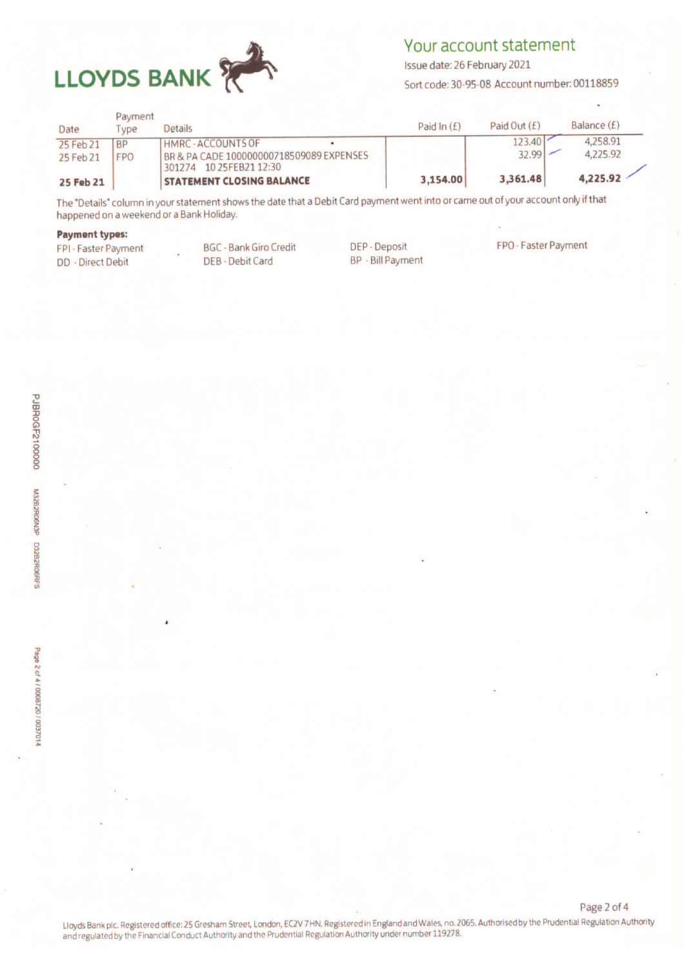

# Your account statement

Issue date: 26 February 2021

Sort code: 30-95-08 Account number: 00118859

| Date      | Payment<br><b>VDe</b> | <b>Details</b>                                                           | Paid In $(E)$ | Paid Out $(f)$ | Balance $(f)$ |
|-----------|-----------------------|--------------------------------------------------------------------------|---------------|----------------|---------------|
| 25 Feb 21 | <b>BP</b>             | HMRC - ACCOUNTS OF                                                       |               | $123.40$       | 4,258.91      |
| 25 Feb 21 | <b>FPO</b>            | BR & PA CADE 100000000718509089 EXPENSES<br>10 25 FEB 21 12:30<br>301274 |               | $32.99$ –      | 4.225.92      |
| 25 Feb 21 |                       | <b>STATEMENT CLOSING BALANCE</b>                                         | 3,154.00      | 3,361.48       | 4,225.92      |

The "Details" column in your statement shows the date that a Debit Card payment went into or came out of your account only if that happened on a weekend or a Bank Holiday.

#### **Payment types:**

FPI - Faster Payment **DD** - Direct Debit

**BGC - Bank Giro Credit** DEB - Debit Card

DEP - Deposit **BP** - Bill Payment FPO - Faster Payment